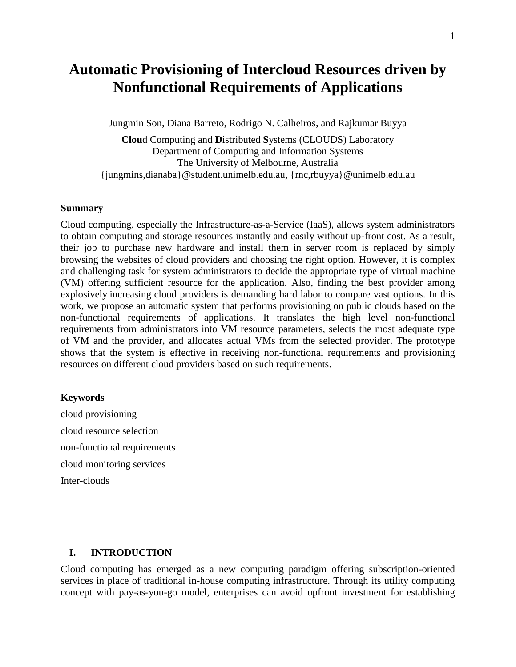# **Automatic Provisioning of Intercloud Resources driven by Nonfunctional Requirements of Applications**

Jungmin Son, Diana Barreto, Rodrigo N. Calheiros, and Rajkumar Buyya

**Clou**d Computing and **D**istributed **S**ystems (CLOUDS) Laboratory Department of Computing and Information Systems The University of Melbourne, Australia {jungmins,dianaba}@student.unimelb.edu.au, {rnc,rbuyya}@unimelb.edu.au

#### **Summary**

Cloud computing, especially the Infrastructure-as-a-Service (IaaS), allows system administrators to obtain computing and storage resources instantly and easily without up-front cost. As a result, their job to purchase new hardware and install them in server room is replaced by simply browsing the websites of cloud providers and choosing the right option. However, it is complex and challenging task for system administrators to decide the appropriate type of virtual machine (VM) offering sufficient resource for the application. Also, finding the best provider among explosively increasing cloud providers is demanding hard labor to compare vast options. In this work, we propose an automatic system that performs provisioning on public clouds based on the non-functional requirements of applications. It translates the high level non-functional requirements from administrators into VM resource parameters, selects the most adequate type of VM and the provider, and allocates actual VMs from the selected provider. The prototype shows that the system is effective in receiving non-functional requirements and provisioning resources on different cloud providers based on such requirements.

#### **Keywords**

cloud provisioning cloud resource selection non-functional requirements cloud monitoring services Inter-clouds

#### **I. INTRODUCTION**

Cloud computing has emerged as a new computing paradigm offering subscription-oriented services in place of traditional in-house computing infrastructure. Through its utility computing concept with pay-as-you-go model, enterprises can avoid upfront investment for establishing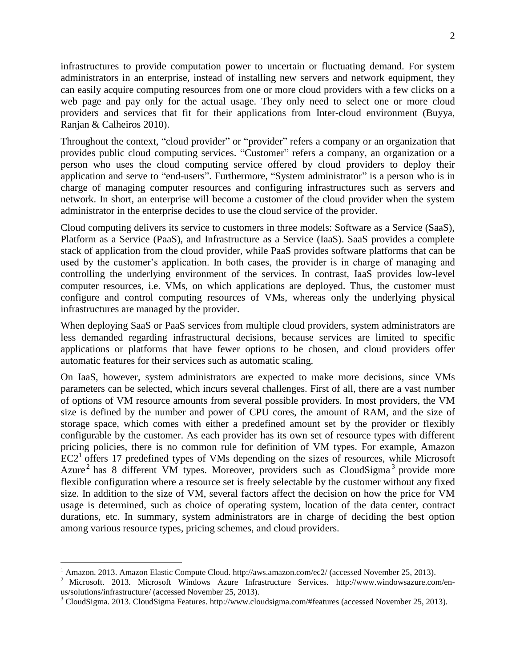infrastructures to provide computation power to uncertain or fluctuating demand. For system administrators in an enterprise, instead of installing new servers and network equipment, they can easily acquire computing resources from one or more cloud providers with a few clicks on a web page and pay only for the actual usage. They only need to select one or more cloud providers and services that fit for their applications from Inter-cloud environment (Buyya, Ranjan & Calheiros 2010).

Throughout the context, "cloud provider" or "provider" refers a company or an organization that provides public cloud computing services. "Customer" refers a company, an organization or a person who uses the cloud computing service offered by cloud providers to deploy their application and serve to "end-users". Furthermore, "System administrator" is a person who is in charge of managing computer resources and configuring infrastructures such as servers and network. In short, an enterprise will become a customer of the cloud provider when the system administrator in the enterprise decides to use the cloud service of the provider.

Cloud computing delivers its service to customers in three models: Software as a Service (SaaS), Platform as a Service (PaaS), and Infrastructure as a Service (IaaS). SaaS provides a complete stack of application from the cloud provider, while PaaS provides software platforms that can be used by the customer's application. In both cases, the provider is in charge of managing and controlling the underlying environment of the services. In contrast, IaaS provides low-level computer resources, i.e. VMs, on which applications are deployed. Thus, the customer must configure and control computing resources of VMs, whereas only the underlying physical infrastructures are managed by the provider.

When deploying SaaS or PaaS services from multiple cloud providers, system administrators are less demanded regarding infrastructural decisions, because services are limited to specific applications or platforms that have fewer options to be chosen, and cloud providers offer automatic features for their services such as automatic scaling.

On IaaS, however, system administrators are expected to make more decisions, since VMs parameters can be selected, which incurs several challenges. First of all, there are a vast number of options of VM resource amounts from several possible providers. In most providers, the VM size is defined by the number and power of CPU cores, the amount of RAM, and the size of storage space, which comes with either a predefined amount set by the provider or flexibly configurable by the customer. As each provider has its own set of resource types with different pricing policies, there is no common rule for definition of VM types. For example, Amazon  $EC2<sup>1</sup>$  offers 17 predefined types of VMs depending on the sizes of resources, while Microsoft Azure<sup>2</sup> has 8 different VM types. Moreover, providers such as CloudSigma<sup>3</sup> provide more flexible configuration where a resource set is freely selectable by the customer without any fixed size. In addition to the size of VM, several factors affect the decision on how the price for VM usage is determined, such as choice of operating system, location of the data center, contract durations, etc. In summary, system administrators are in charge of deciding the best option among various resource types, pricing schemes, and cloud providers.

 $\overline{a}$ 

<sup>&</sup>lt;sup>1</sup> Amazon. 2013. Amazon Elastic Compute Cloud. http://aws.amazon.com/ec2/ (accessed November 25, 2013).

<sup>2</sup> Microsoft. 2013. Microsoft Windows Azure Infrastructure Services. http://www.windowsazure.com/enus/solutions/infrastructure/ (accessed November 25, 2013).

<sup>3</sup> CloudSigma. 2013. CloudSigma Features. http://www.cloudsigma.com/#features (accessed November 25, 2013).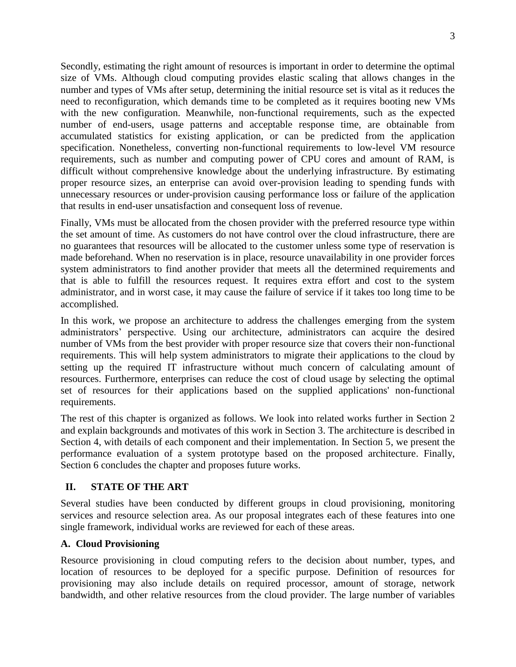Secondly, estimating the right amount of resources is important in order to determine the optimal size of VMs. Although cloud computing provides elastic scaling that allows changes in the number and types of VMs after setup, determining the initial resource set is vital as it reduces the need to reconfiguration, which demands time to be completed as it requires booting new VMs with the new configuration. Meanwhile, non-functional requirements, such as the expected number of end-users, usage patterns and acceptable response time, are obtainable from accumulated statistics for existing application, or can be predicted from the application specification. Nonetheless, converting non-functional requirements to low-level VM resource requirements, such as number and computing power of CPU cores and amount of RAM, is difficult without comprehensive knowledge about the underlying infrastructure. By estimating proper resource sizes, an enterprise can avoid over-provision leading to spending funds with unnecessary resources or under-provision causing performance loss or failure of the application that results in end-user unsatisfaction and consequent loss of revenue.

Finally, VMs must be allocated from the chosen provider with the preferred resource type within the set amount of time. As customers do not have control over the cloud infrastructure, there are no guarantees that resources will be allocated to the customer unless some type of reservation is made beforehand. When no reservation is in place, resource unavailability in one provider forces system administrators to find another provider that meets all the determined requirements and that is able to fulfill the resources request. It requires extra effort and cost to the system administrator, and in worst case, it may cause the failure of service if it takes too long time to be accomplished.

In this work, we propose an architecture to address the challenges emerging from the system administrators' perspective. Using our architecture, administrators can acquire the desired number of VMs from the best provider with proper resource size that covers their non-functional requirements. This will help system administrators to migrate their applications to the cloud by setting up the required IT infrastructure without much concern of calculating amount of resources. Furthermore, enterprises can reduce the cost of cloud usage by selecting the optimal set of resources for their applications based on the supplied applications' non-functional requirements.

The rest of this chapter is organized as follows. We look into related works further in Section 2 and explain backgrounds and motivates of this work in Section 3. The architecture is described in Section 4, with details of each component and their implementation. In Section 5, we present the performance evaluation of a system prototype based on the proposed architecture. Finally, Section 6 concludes the chapter and proposes future works.

### **II. STATE OF THE ART**

Several studies have been conducted by different groups in cloud provisioning, monitoring services and resource selection area. As our proposal integrates each of these features into one single framework, individual works are reviewed for each of these areas.

### **A. Cloud Provisioning**

Resource provisioning in cloud computing refers to the decision about number, types, and location of resources to be deployed for a specific purpose. Definition of resources for provisioning may also include details on required processor, amount of storage, network bandwidth, and other relative resources from the cloud provider. The large number of variables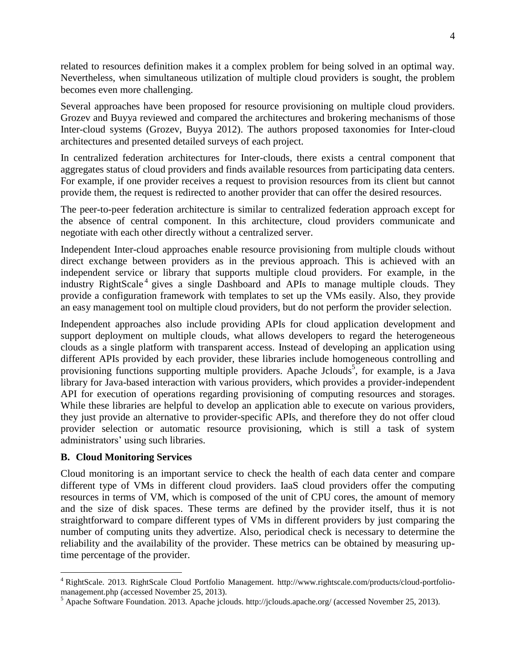related to resources definition makes it a complex problem for being solved in an optimal way. Nevertheless, when simultaneous utilization of multiple cloud providers is sought, the problem becomes even more challenging.

Several approaches have been proposed for resource provisioning on multiple cloud providers. Grozev and Buyya reviewed and compared the architectures and brokering mechanisms of those Inter-cloud systems (Grozev, Buyya 2012). The authors proposed taxonomies for Inter-cloud architectures and presented detailed surveys of each project.

In centralized federation architectures for Inter-clouds, there exists a central component that aggregates status of cloud providers and finds available resources from participating data centers. For example, if one provider receives a request to provision resources from its client but cannot provide them, the request is redirected to another provider that can offer the desired resources.

The peer-to-peer federation architecture is similar to centralized federation approach except for the absence of central component. In this architecture, cloud providers communicate and negotiate with each other directly without a centralized server.

Independent Inter-cloud approaches enable resource provisioning from multiple clouds without direct exchange between providers as in the previous approach. This is achieved with an independent service or library that supports multiple cloud providers. For example, in the industry RightScale<sup>4</sup> gives a single Dashboard and APIs to manage multiple clouds. They provide a configuration framework with templates to set up the VMs easily. Also, they provide an easy management tool on multiple cloud providers, but do not perform the provider selection.

Independent approaches also include providing APIs for cloud application development and support deployment on multiple clouds, what allows developers to regard the heterogeneous clouds as a single platform with transparent access. Instead of developing an application using different APIs provided by each provider, these libraries include homogeneous controlling and provisioning functions supporting multiple providers. Apache Jclouds<sup>5</sup>, for example, is a Java library for Java-based interaction with various providers, which provides a provider-independent API for execution of operations regarding provisioning of computing resources and storages. While these libraries are helpful to develop an application able to execute on various providers, they just provide an alternative to provider-specific APIs, and therefore they do not offer cloud provider selection or automatic resource provisioning, which is still a task of system administrators' using such libraries.

### **B. Cloud Monitoring Services**

 $\overline{a}$ 

Cloud monitoring is an important service to check the health of each data center and compare different type of VMs in different cloud providers. IaaS cloud providers offer the computing resources in terms of VM, which is composed of the unit of CPU cores, the amount of memory and the size of disk spaces. These terms are defined by the provider itself, thus it is not straightforward to compare different types of VMs in different providers by just comparing the number of computing units they advertize. Also, periodical check is necessary to determine the reliability and the availability of the provider. These metrics can be obtained by measuring uptime percentage of the provider.

<sup>4</sup> RightScale. 2013. RightScale Cloud Portfolio Management. http://www.rightscale.com/products/cloud-portfoliomanagement.php (accessed November 25, 2013).

<sup>5</sup> Apache Software Foundation. 2013. Apache jclouds. http://jclouds.apache.org/ (accessed November 25, 2013).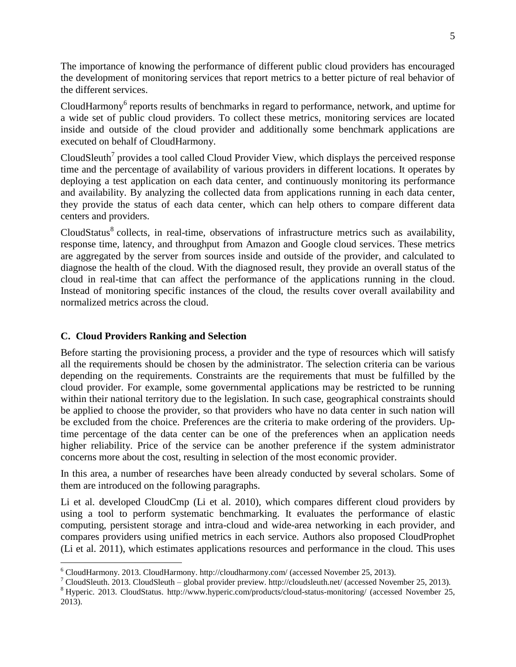The importance of knowing the performance of different public cloud providers has encouraged the development of monitoring services that report metrics to a better picture of real behavior of the different services.

CloudHarmony<sup>6</sup> reports results of benchmarks in regard to performance, network, and uptime for a wide set of public cloud providers. To collect these metrics, monitoring services are located inside and outside of the cloud provider and additionally some benchmark applications are executed on behalf of CloudHarmony.

CloudSleuth<sup>7</sup> provides a tool called Cloud Provider View, which displays the perceived response time and the percentage of availability of various providers in different locations. It operates by deploying a test application on each data center, and continuously monitoring its performance and availability. By analyzing the collected data from applications running in each data center, they provide the status of each data center, which can help others to compare different data centers and providers.

CloudStatus<sup>8</sup> collects, in real-time, observations of infrastructure metrics such as availability, response time, latency, and throughput from Amazon and Google cloud services. These metrics are aggregated by the server from sources inside and outside of the provider, and calculated to diagnose the health of the cloud. With the diagnosed result, they provide an overall status of the cloud in real-time that can affect the performance of the applications running in the cloud. Instead of monitoring specific instances of the cloud, the results cover overall availability and normalized metrics across the cloud.

### **C. Cloud Providers Ranking and Selection**

 $\overline{a}$ 

Before starting the provisioning process, a provider and the type of resources which will satisfy all the requirements should be chosen by the administrator. The selection criteria can be various depending on the requirements. Constraints are the requirements that must be fulfilled by the cloud provider. For example, some governmental applications may be restricted to be running within their national territory due to the legislation. In such case, geographical constraints should be applied to choose the provider, so that providers who have no data center in such nation will be excluded from the choice. Preferences are the criteria to make ordering of the providers. Uptime percentage of the data center can be one of the preferences when an application needs higher reliability. Price of the service can be another preference if the system administrator concerns more about the cost, resulting in selection of the most economic provider.

In this area, a number of researches have been already conducted by several scholars. Some of them are introduced on the following paragraphs.

Li et al. developed CloudCmp (Li et al. 2010), which compares different cloud providers by using a tool to perform systematic benchmarking. It evaluates the performance of elastic computing, persistent storage and intra-cloud and wide-area networking in each provider, and compares providers using unified metrics in each service. Authors also proposed CloudProphet (Li et al. 2011), which estimates applications resources and performance in the cloud. This uses

<sup>6</sup> CloudHarmony. 2013. CloudHarmony. http://cloudharmony.com/ (accessed November 25, 2013).

<sup>&</sup>lt;sup>7</sup> CloudSleuth. 2013. CloudSleuth – global provider preview. http://cloudsleuth.net/ (accessed November 25, 2013).

<sup>8</sup> Hyperic. 2013. CloudStatus. http://www.hyperic.com/products/cloud-status-monitoring/ (accessed November 25, 2013).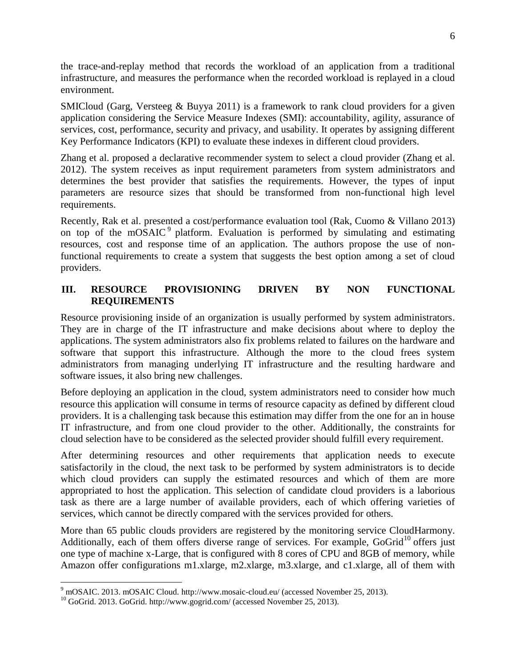the trace-and-replay method that records the workload of an application from a traditional infrastructure, and measures the performance when the recorded workload is replayed in a cloud environment.

SMICloud (Garg, Versteeg & Buyya 2011) is a framework to rank cloud providers for a given application considering the Service Measure Indexes (SMI): accountability, agility, assurance of services, cost, performance, security and privacy, and usability. It operates by assigning different Key Performance Indicators (KPI) to evaluate these indexes in different cloud providers.

Zhang et al. proposed a declarative recommender system to select a cloud provider (Zhang et al. 2012). The system receives as input requirement parameters from system administrators and determines the best provider that satisfies the requirements. However, the types of input parameters are resource sizes that should be transformed from non-functional high level requirements.

Recently, Rak et al. presented a cost/performance evaluation tool (Rak, Cuomo & Villano 2013) on top of the mOSAIC<sup>9</sup> platform. Evaluation is performed by simulating and estimating resources, cost and response time of an application. The authors propose the use of nonfunctional requirements to create a system that suggests the best option among a set of cloud providers.

## **III. RESOURCE PROVISIONING DRIVEN BY NON FUNCTIONAL REQUIREMENTS**

Resource provisioning inside of an organization is usually performed by system administrators. They are in charge of the IT infrastructure and make decisions about where to deploy the applications. The system administrators also fix problems related to failures on the hardware and software that support this infrastructure. Although the more to the cloud frees system administrators from managing underlying IT infrastructure and the resulting hardware and software issues, it also bring new challenges.

Before deploying an application in the cloud, system administrators need to consider how much resource this application will consume in terms of resource capacity as defined by different cloud providers. It is a challenging task because this estimation may differ from the one for an in house IT infrastructure, and from one cloud provider to the other. Additionally, the constraints for cloud selection have to be considered as the selected provider should fulfill every requirement.

After determining resources and other requirements that application needs to execute satisfactorily in the cloud, the next task to be performed by system administrators is to decide which cloud providers can supply the estimated resources and which of them are more appropriated to host the application. This selection of candidate cloud providers is a laborious task as there are a large number of available providers, each of which offering varieties of services, which cannot be directly compared with the services provided for others.

More than 65 public clouds providers are registered by the monitoring service CloudHarmony. Additionally, each of them offers diverse range of services. For example,  $GoGrid^{10}$  offers just one type of machine x-Large, that is configured with 8 cores of CPU and 8GB of memory, while Amazon offer configurations m1.xlarge, m2.xlarge, m3.xlarge, and c1.xlarge, all of them with

 $\overline{a}$ 

 $9 \text{ mOSAIC. } 2013 \text{ mOSAIC Cloud. } \text{http://www.mosaic-coloud.eu/ } (accessed \text{ November } 25, 2013).$ 

<sup>&</sup>lt;sup>10</sup> GoGrid. 2013. GoGrid. http://www.gogrid.com/ (accessed November 25, 2013).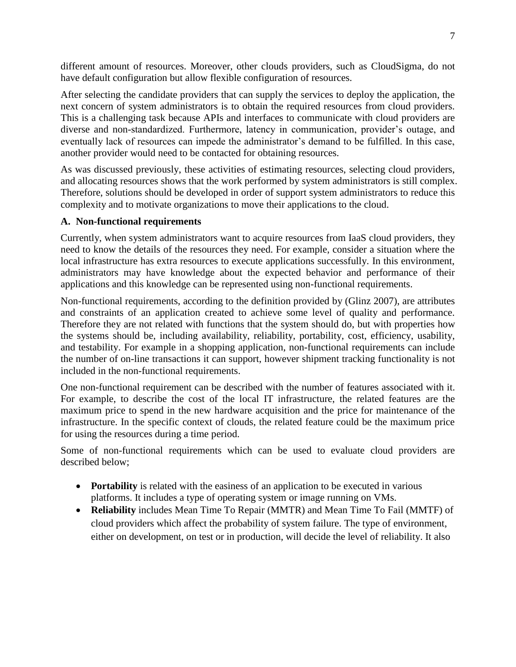different amount of resources. Moreover, other clouds providers, such as CloudSigma, do not have default configuration but allow flexible configuration of resources.

After selecting the candidate providers that can supply the services to deploy the application, the next concern of system administrators is to obtain the required resources from cloud providers. This is a challenging task because APIs and interfaces to communicate with cloud providers are diverse and non-standardized. Furthermore, latency in communication, provider's outage, and eventually lack of resources can impede the administrator's demand to be fulfilled. In this case, another provider would need to be contacted for obtaining resources.

As was discussed previously, these activities of estimating resources, selecting cloud providers, and allocating resources shows that the work performed by system administrators is still complex. Therefore, solutions should be developed in order of support system administrators to reduce this complexity and to motivate organizations to move their applications to the cloud.

#### **A. Non-functional requirements**

Currently, when system administrators want to acquire resources from IaaS cloud providers, they need to know the details of the resources they need. For example, consider a situation where the local infrastructure has extra resources to execute applications successfully. In this environment, administrators may have knowledge about the expected behavior and performance of their applications and this knowledge can be represented using non-functional requirements.

Non-functional requirements, according to the definition provided by (Glinz 2007), are attributes and constraints of an application created to achieve some level of quality and performance. Therefore they are not related with functions that the system should do, but with properties how the systems should be, including availability, reliability, portability, cost, efficiency, usability, and testability. For example in a shopping application, non-functional requirements can include the number of on-line transactions it can support, however shipment tracking functionality is not included in the non-functional requirements.

One non-functional requirement can be described with the number of features associated with it. For example, to describe the cost of the local IT infrastructure, the related features are the maximum price to spend in the new hardware acquisition and the price for maintenance of the infrastructure. In the specific context of clouds, the related feature could be the maximum price for using the resources during a time period.

Some of non-functional requirements which can be used to evaluate cloud providers are described below;

- **Portability** is related with the easiness of an application to be executed in various platforms. It includes a type of operating system or image running on VMs.
- **Reliability** includes Mean Time To Repair (MMTR) and Mean Time To Fail (MMTF) of cloud providers which affect the probability of system failure. The type of environment, either on development, on test or in production, will decide the level of reliability. It also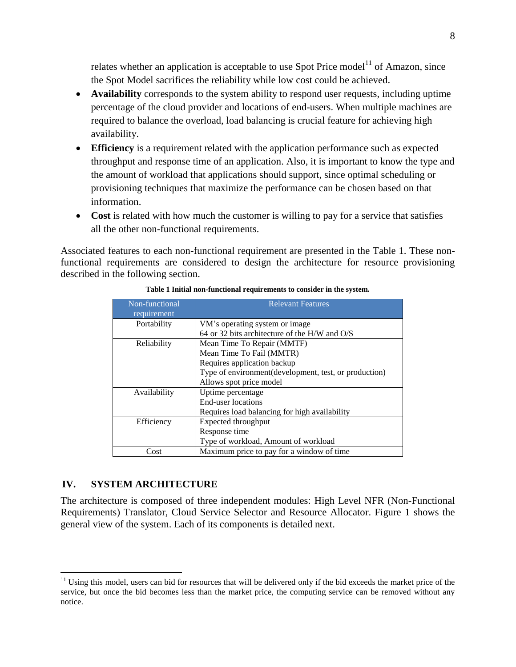relates whether an application is acceptable to use Spot Price model<sup>11</sup> of Amazon, since the Spot Model sacrifices the reliability while low cost could be achieved.

- **Availability** corresponds to the system ability to respond user requests, including uptime percentage of the cloud provider and locations of end-users. When multiple machines are required to balance the overload, load balancing is crucial feature for achieving high availability.
- **Efficiency** is a requirement related with the application performance such as expected throughput and response time of an application. Also, it is important to know the type and the amount of workload that applications should support, since optimal scheduling or provisioning techniques that maximize the performance can be chosen based on that information.
- Cost is related with how much the customer is willing to pay for a service that satisfies all the other non-functional requirements.

Associated features to each non-functional requirement are presented in the Table 1. These nonfunctional requirements are considered to design the architecture for resource provisioning described in the following section.

| Non-functional | <b>Relevant Features</b>                               |  |  |  |
|----------------|--------------------------------------------------------|--|--|--|
| requirement    |                                                        |  |  |  |
| Portability    | VM's operating system or image.                        |  |  |  |
|                | 64 or 32 bits architecture of the H/W and O/S          |  |  |  |
| Reliability    | Mean Time To Repair (MMTF)                             |  |  |  |
|                | Mean Time To Fail (MMTR)                               |  |  |  |
|                | Requires application backup                            |  |  |  |
|                | Type of environment (development, test, or production) |  |  |  |
|                | Allows spot price model                                |  |  |  |
| Availability   | Uptime percentage                                      |  |  |  |
|                | End-user locations                                     |  |  |  |
|                | Requires load balancing for high availability          |  |  |  |
| Efficiency     | Expected throughput                                    |  |  |  |
|                | Response time                                          |  |  |  |
|                | Type of workload, Amount of workload                   |  |  |  |
| Cost           | Maximum price to pay for a window of time              |  |  |  |

#### **Table 1 Initial non-functional requirements to consider in the system.**

#### **IV. SYSTEM ARCHITECTURE**

 $\overline{a}$ 

The architecture is composed of three independent modules: High Level NFR (Non-Functional Requirements) Translator, Cloud Service Selector and Resource Allocator. Figure 1 shows the general view of the system. Each of its components is detailed next.

 $11$  Using this model, users can bid for resources that will be delivered only if the bid exceeds the market price of the service, but once the bid becomes less than the market price, the computing service can be removed without any notice.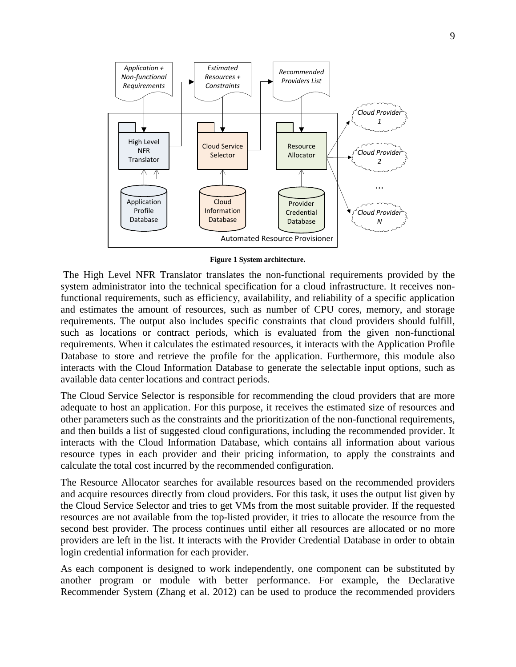

**Figure 1 System architecture.**

The High Level NFR Translator translates the non-functional requirements provided by the system administrator into the technical specification for a cloud infrastructure. It receives nonfunctional requirements, such as efficiency, availability, and reliability of a specific application and estimates the amount of resources, such as number of CPU cores, memory, and storage requirements. The output also includes specific constraints that cloud providers should fulfill, such as locations or contract periods, which is evaluated from the given non-functional requirements. When it calculates the estimated resources, it interacts with the Application Profile Database to store and retrieve the profile for the application. Furthermore, this module also interacts with the Cloud Information Database to generate the selectable input options, such as available data center locations and contract periods.

The Cloud Service Selector is responsible for recommending the cloud providers that are more adequate to host an application. For this purpose, it receives the estimated size of resources and other parameters such as the constraints and the prioritization of the non-functional requirements, and then builds a list of suggested cloud configurations, including the recommended provider. It interacts with the Cloud Information Database, which contains all information about various resource types in each provider and their pricing information, to apply the constraints and calculate the total cost incurred by the recommended configuration.

The Resource Allocator searches for available resources based on the recommended providers and acquire resources directly from cloud providers. For this task, it uses the output list given by the Cloud Service Selector and tries to get VMs from the most suitable provider. If the requested resources are not available from the top-listed provider, it tries to allocate the resource from the second best provider. The process continues until either all resources are allocated or no more providers are left in the list. It interacts with the Provider Credential Database in order to obtain login credential information for each provider.

As each component is designed to work independently, one component can be substituted by another program or module with better performance. For example, the Declarative Recommender System (Zhang et al. 2012) can be used to produce the recommended providers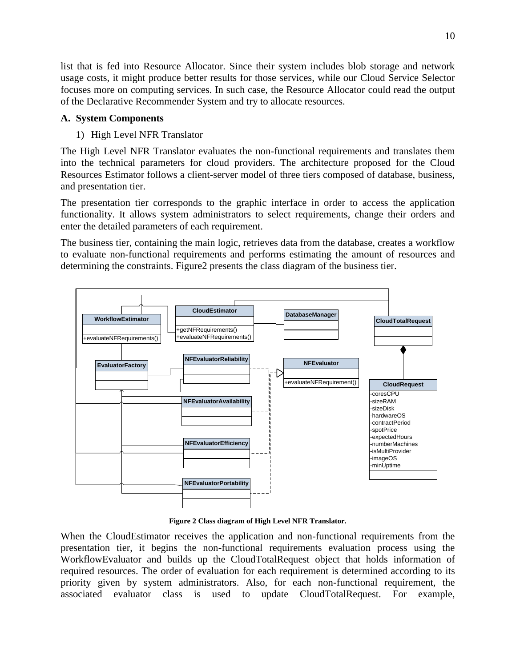list that is fed into Resource Allocator. Since their system includes blob storage and network usage costs, it might produce better results for those services, while our Cloud Service Selector focuses more on computing services. In such case, the Resource Allocator could read the output of the Declarative Recommender System and try to allocate resources.

#### **A. System Components**

### 1) High Level NFR Translator

The High Level NFR Translator evaluates the non-functional requirements and translates them into the technical parameters for cloud providers. The architecture proposed for the Cloud Resources Estimator follows a client-server model of three tiers composed of database, business, and presentation tier.

The presentation tier corresponds to the graphic interface in order to access the application functionality. It allows system administrators to select requirements, change their orders and enter the detailed parameters of each requirement.

The business tier, containing the main logic, retrieves data from the database, creates a workflow to evaluate non-functional requirements and performs estimating the amount of resources and determining the constraints. Figure2 presents the class diagram of the business tier.



**Figure 2 Class diagram of High Level NFR Translator.**

When the CloudEstimator receives the application and non-functional requirements from the presentation tier, it begins the non-functional requirements evaluation process using the WorkflowEvaluator and builds up the CloudTotalRequest object that holds information of required resources. The order of evaluation for each requirement is determined according to its priority given by system administrators. Also, for each non-functional requirement, the associated evaluator class is used to update CloudTotalRequest. For example,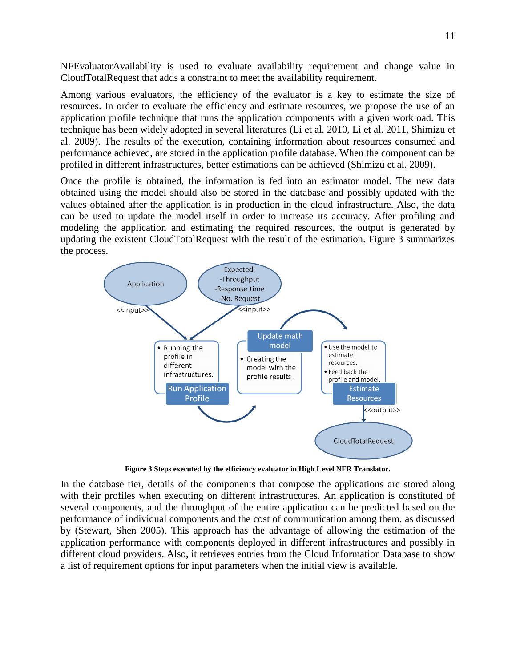NFEvaluatorAvailability is used to evaluate availability requirement and change value in CloudTotalRequest that adds a constraint to meet the availability requirement.

Among various evaluators, the efficiency of the evaluator is a key to estimate the size of resources. In order to evaluate the efficiency and estimate resources, we propose the use of an application profile technique that runs the application components with a given workload. This technique has been widely adopted in several literatures (Li et al. 2010, Li et al. 2011, Shimizu et al. 2009). The results of the execution, containing information about resources consumed and performance achieved, are stored in the application profile database. When the component can be profiled in different infrastructures, better estimations can be achieved (Shimizu et al. 2009).

Once the profile is obtained, the information is fed into an estimator model. The new data obtained using the model should also be stored in the database and possibly updated with the values obtained after the application is in production in the cloud infrastructure. Also, the data can be used to update the model itself in order to increase its accuracy. After profiling and modeling the application and estimating the required resources, the output is generated by updating the existent CloudTotalRequest with the result of the estimation. Figure 3 summarizes the process.



**Figure 3 Steps executed by the efficiency evaluator in High Level NFR Translator.**

In the database tier, details of the components that compose the applications are stored along with their profiles when executing on different infrastructures. An application is constituted of several components, and the throughput of the entire application can be predicted based on the performance of individual components and the cost of communication among them, as discussed by (Stewart, Shen 2005). This approach has the advantage of allowing the estimation of the application performance with components deployed in different infrastructures and possibly in different cloud providers. Also, it retrieves entries from the Cloud Information Database to show a list of requirement options for input parameters when the initial view is available.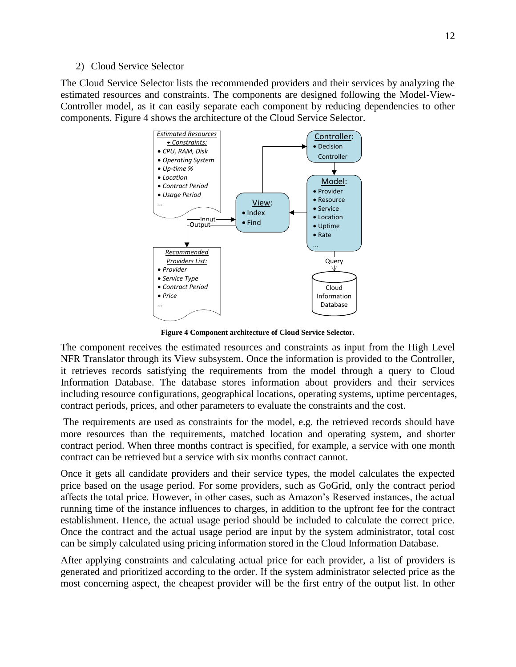#### 2) Cloud Service Selector

The Cloud Service Selector lists the recommended providers and their services by analyzing the estimated resources and constraints. The components are designed following the Model-View-Controller model, as it can easily separate each component by reducing dependencies to other components. Figure 4 shows the architecture of the Cloud Service Selector.

![](_page_11_Figure_3.jpeg)

**Figure 4 Component architecture of Cloud Service Selector.**

The component receives the estimated resources and constraints as input from the High Level NFR Translator through its View subsystem. Once the information is provided to the Controller, it retrieves records satisfying the requirements from the model through a query to Cloud Information Database. The database stores information about providers and their services including resource configurations, geographical locations, operating systems, uptime percentages, contract periods, prices, and other parameters to evaluate the constraints and the cost.

The requirements are used as constraints for the model, e.g. the retrieved records should have more resources than the requirements, matched location and operating system, and shorter contract period. When three months contract is specified, for example, a service with one month contract can be retrieved but a service with six months contract cannot.

Once it gets all candidate providers and their service types, the model calculates the expected price based on the usage period. For some providers, such as GoGrid, only the contract period affects the total price. However, in other cases, such as Amazon's Reserved instances, the actual running time of the instance influences to charges, in addition to the upfront fee for the contract establishment. Hence, the actual usage period should be included to calculate the correct price. Once the contract and the actual usage period are input by the system administrator, total cost can be simply calculated using pricing information stored in the Cloud Information Database.

After applying constraints and calculating actual price for each provider, a list of providers is generated and prioritized according to the order. If the system administrator selected price as the most concerning aspect, the cheapest provider will be the first entry of the output list. In other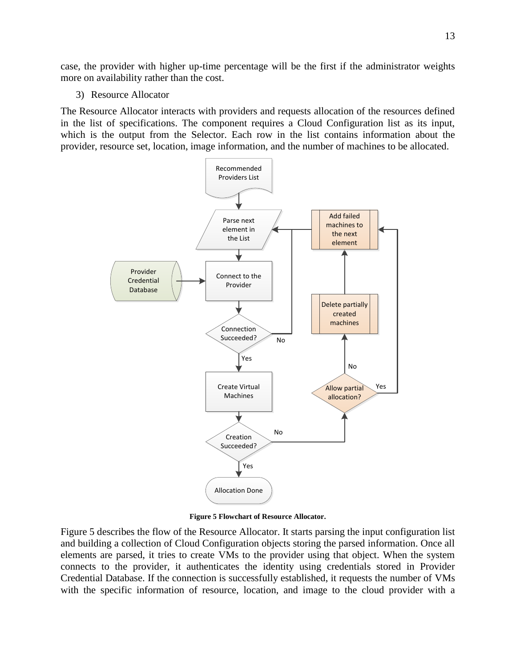case, the provider with higher up-time percentage will be the first if the administrator weights more on availability rather than the cost.

3) Resource Allocator

The Resource Allocator interacts with providers and requests allocation of the resources defined in the list of specifications. The component requires a Cloud Configuration list as its input, which is the output from the Selector. Each row in the list contains information about the provider, resource set, location, image information, and the number of machines to be allocated.

![](_page_12_Figure_3.jpeg)

**Figure 5 Flowchart of Resource Allocator.**

Figure 5 describes the flow of the Resource Allocator. It starts parsing the input configuration list and building a collection of Cloud Configuration objects storing the parsed information. Once all elements are parsed, it tries to create VMs to the provider using that object. When the system connects to the provider, it authenticates the identity using credentials stored in Provider Credential Database. If the connection is successfully established, it requests the number of VMs with the specific information of resource, location, and image to the cloud provider with a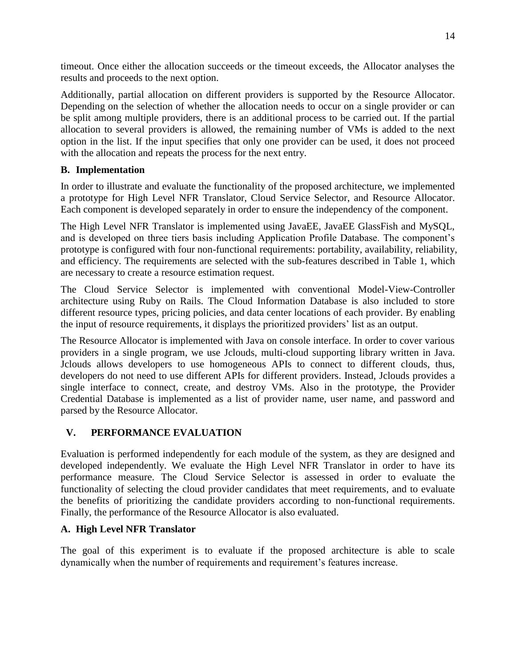timeout. Once either the allocation succeeds or the timeout exceeds, the Allocator analyses the results and proceeds to the next option.

Additionally, partial allocation on different providers is supported by the Resource Allocator. Depending on the selection of whether the allocation needs to occur on a single provider or can be split among multiple providers, there is an additional process to be carried out. If the partial allocation to several providers is allowed, the remaining number of VMs is added to the next option in the list. If the input specifies that only one provider can be used, it does not proceed with the allocation and repeats the process for the next entry.

## **B. Implementation**

In order to illustrate and evaluate the functionality of the proposed architecture, we implemented a prototype for High Level NFR Translator, Cloud Service Selector, and Resource Allocator. Each component is developed separately in order to ensure the independency of the component.

The High Level NFR Translator is implemented using JavaEE, JavaEE GlassFish and MySQL, and is developed on three tiers basis including Application Profile Database. The component's prototype is configured with four non-functional requirements: portability, availability, reliability, and efficiency. The requirements are selected with the sub-features described in Table 1, which are necessary to create a resource estimation request.

The Cloud Service Selector is implemented with conventional Model-View-Controller architecture using Ruby on Rails. The Cloud Information Database is also included to store different resource types, pricing policies, and data center locations of each provider. By enabling the input of resource requirements, it displays the prioritized providers' list as an output.

The Resource Allocator is implemented with Java on console interface. In order to cover various providers in a single program, we use Jclouds, multi-cloud supporting library written in Java. Jclouds allows developers to use homogeneous APIs to connect to different clouds, thus, developers do not need to use different APIs for different providers. Instead, Jclouds provides a single interface to connect, create, and destroy VMs. Also in the prototype, the Provider Credential Database is implemented as a list of provider name, user name, and password and parsed by the Resource Allocator.

# **V. PERFORMANCE EVALUATION**

Evaluation is performed independently for each module of the system, as they are designed and developed independently. We evaluate the High Level NFR Translator in order to have its performance measure. The Cloud Service Selector is assessed in order to evaluate the functionality of selecting the cloud provider candidates that meet requirements, and to evaluate the benefits of prioritizing the candidate providers according to non-functional requirements. Finally, the performance of the Resource Allocator is also evaluated.

### **A. High Level NFR Translator**

The goal of this experiment is to evaluate if the proposed architecture is able to scale dynamically when the number of requirements and requirement's features increase.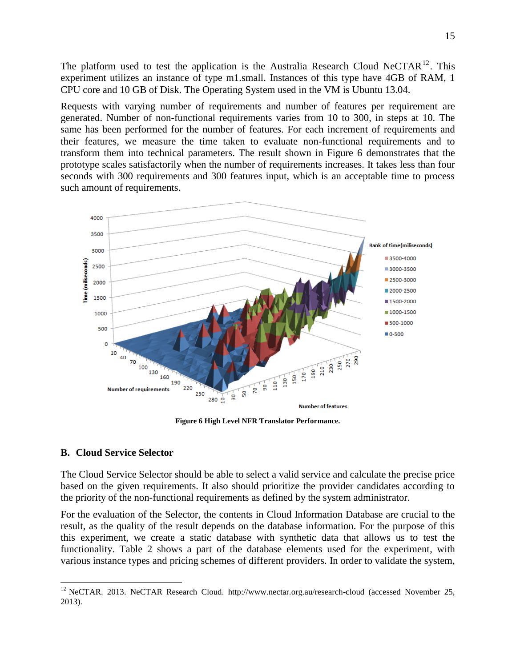The platform used to test the application is the Australia Research Cloud NeCTAR $^{12}$ . This experiment utilizes an instance of type m1.small. Instances of this type have 4GB of RAM, 1 CPU core and 10 GB of Disk. The Operating System used in the VM is Ubuntu 13.04.

Requests with varying number of requirements and number of features per requirement are generated. Number of non-functional requirements varies from 10 to 300, in steps at 10. The same has been performed for the number of features. For each increment of requirements and their features, we measure the time taken to evaluate non-functional requirements and to transform them into technical parameters. The result shown in Figure 6 demonstrates that the prototype scales satisfactorily when the number of requirements increases. It takes less than four seconds with 300 requirements and 300 features input, which is an acceptable time to process such amount of requirements.

![](_page_14_Figure_2.jpeg)

**Figure 6 High Level NFR Translator Performance.**

### **B. Cloud Service Selector**

 $\overline{a}$ 

The Cloud Service Selector should be able to select a valid service and calculate the precise price based on the given requirements. It also should prioritize the provider candidates according to the priority of the non-functional requirements as defined by the system administrator.

For the evaluation of the Selector, the contents in Cloud Information Database are crucial to the result, as the quality of the result depends on the database information. For the purpose of this this experiment, we create a static database with synthetic data that allows us to test the functionality. Table 2 shows a part of the database elements used for the experiment, with various instance types and pricing schemes of different providers. In order to validate the system,

<sup>&</sup>lt;sup>12</sup> NeCTAR. 2013. NeCTAR Research Cloud. http://www.nectar.org.au/research-cloud (accessed November 25, 2013).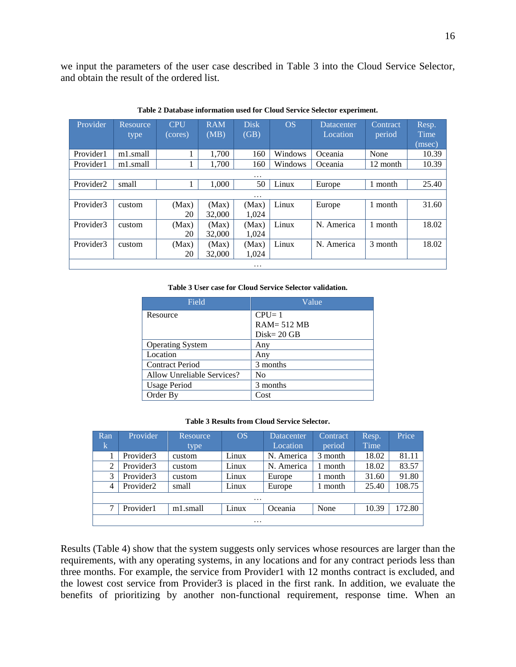we input the parameters of the user case described in Table 3 into the Cloud Service Selector, and obtain the result of the ordered list.

| Provider              | Resource, | <b>CPU</b> | <b>RAM</b> | <b>Disk</b> | OS      | Datacenter | Contract | Resp.  |
|-----------------------|-----------|------------|------------|-------------|---------|------------|----------|--------|
|                       | type      | (cores)    | (MB)       | (GB)        |         | Location   | period   | Time   |
|                       |           |            |            |             |         |            |          | (msec) |
| Provider1             | m1.small  | п          | 1,700      | 160         | Windows | Oceania    | None     | 10.39  |
| Provider1             | m1.small  |            | 1,700      | 160         | Windows | Oceania    | 12 month | 10.39  |
|                       |           |            |            | $\cdots$    |         |            |          |        |
| Provider <sub>2</sub> | small     |            | 1.000      | 50          | Linux   | Europe     | 1 month  | 25.40  |
|                       |           |            |            | $\cdots$    |         |            |          |        |
| Provider3             | custom    | (Max)      | (Max)      | (Max)       | Linux   | Europe     | 1 month  | 31.60  |
|                       |           | 20         | 32,000     | 1,024       |         |            |          |        |
| Provider3             | custom    | (Max)      | (Max)      | (Max)       | Linux   | N. America | 1 month  | 18.02  |
|                       |           | 20         | 32,000     | 1,024       |         |            |          |        |
| Provider3             | custom    | (Max)      | (Max)      | (Max)       | Linux   | N. America | 3 month  | 18.02  |
|                       |           | 20         | 32,000     | 1,024       |         |            |          |        |
|                       |           |            |            | $\cdots$    |         |            |          |        |

**Table 2 Database information used for Cloud Service Selector experiment.**

#### **Table 3 User case for Cloud Service Selector validation.**

| Field                      | Value          |
|----------------------------|----------------|
| Resource                   | $CPU = 1$      |
|                            | $RAM = 512 MB$ |
|                            | $Disk = 20 GB$ |
| <b>Operating System</b>    | Any            |
| Location                   | Any            |
| <b>Contract Period</b>     | 3 months       |
| Allow Unreliable Services? | No             |
| <b>Usage Period</b>        | 3 months       |
| Order By                   | Cost           |

#### **Table 3 Results from Cloud Service Selector.**

| Ran            | Provider              | Resource | <b>OS</b> | <b>Datacenter</b> | Contract | Resp. | Price  |  |  |
|----------------|-----------------------|----------|-----------|-------------------|----------|-------|--------|--|--|
| Ιk             |                       | type     |           | Location          | period   | Time  |        |  |  |
|                | Provider3             | custom   | Linux     | N. America        | 3 month  | 18.02 | 81.11  |  |  |
| $\overline{2}$ | Provider3             | custom   | Linux     | N. America        | month    | 18.02 | 83.57  |  |  |
| 3              | Provider3             | custom   | Linux     | Europe            | month    | 31.60 | 91.80  |  |  |
| 4              | Provider <sub>2</sub> | small    | Linux     | Europe            | month    | 25.40 | 108.75 |  |  |
| $\cdots$       |                       |          |           |                   |          |       |        |  |  |
| ⇁              | Provider1             | m1.small | Linux     | Oceania           | None     | 10.39 | 172.80 |  |  |
| $\cdot$        |                       |          |           |                   |          |       |        |  |  |

Results (Table 4) show that the system suggests only services whose resources are larger than the requirements, with any operating systems, in any locations and for any contract periods less than three months. For example, the service from Provider1 with 12 months contract is excluded, and the lowest cost service from Provider3 is placed in the first rank. In addition, we evaluate the benefits of prioritizing by another non-functional requirement, response time. When an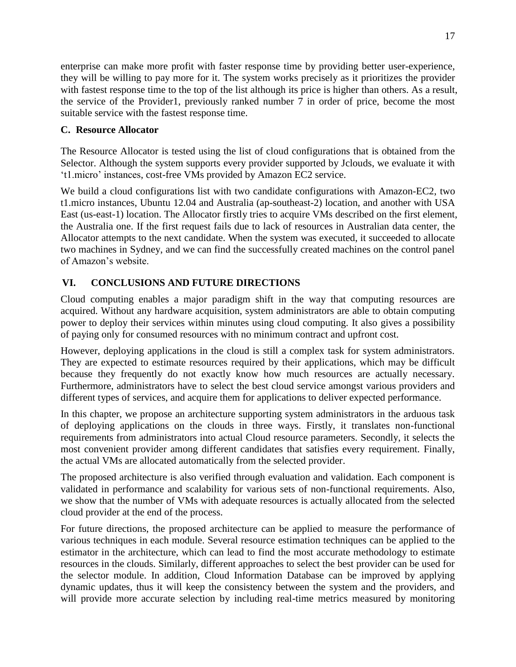enterprise can make more profit with faster response time by providing better user-experience, they will be willing to pay more for it. The system works precisely as it prioritizes the provider with fastest response time to the top of the list although its price is higher than others. As a result, the service of the Provider1, previously ranked number 7 in order of price, become the most suitable service with the fastest response time.

### **C. Resource Allocator**

The Resource Allocator is tested using the list of cloud configurations that is obtained from the Selector. Although the system supports every provider supported by Jclouds, we evaluate it with 't1.micro' instances, cost-free VMs provided by Amazon EC2 service.

We build a cloud configurations list with two candidate configurations with Amazon-EC2, two t1.micro instances, Ubuntu 12.04 and Australia (ap-southeast-2) location, and another with USA East (us-east-1) location. The Allocator firstly tries to acquire VMs described on the first element, the Australia one. If the first request fails due to lack of resources in Australian data center, the Allocator attempts to the next candidate. When the system was executed, it succeeded to allocate two machines in Sydney, and we can find the successfully created machines on the control panel of Amazon's website.

# **VI. CONCLUSIONS AND FUTURE DIRECTIONS**

Cloud computing enables a major paradigm shift in the way that computing resources are acquired. Without any hardware acquisition, system administrators are able to obtain computing power to deploy their services within minutes using cloud computing. It also gives a possibility of paying only for consumed resources with no minimum contract and upfront cost.

However, deploying applications in the cloud is still a complex task for system administrators. They are expected to estimate resources required by their applications, which may be difficult because they frequently do not exactly know how much resources are actually necessary. Furthermore, administrators have to select the best cloud service amongst various providers and different types of services, and acquire them for applications to deliver expected performance.

In this chapter, we propose an architecture supporting system administrators in the arduous task of deploying applications on the clouds in three ways. Firstly, it translates non-functional requirements from administrators into actual Cloud resource parameters. Secondly, it selects the most convenient provider among different candidates that satisfies every requirement. Finally, the actual VMs are allocated automatically from the selected provider.

The proposed architecture is also verified through evaluation and validation. Each component is validated in performance and scalability for various sets of non-functional requirements. Also, we show that the number of VMs with adequate resources is actually allocated from the selected cloud provider at the end of the process.

For future directions, the proposed architecture can be applied to measure the performance of various techniques in each module. Several resource estimation techniques can be applied to the estimator in the architecture, which can lead to find the most accurate methodology to estimate resources in the clouds. Similarly, different approaches to select the best provider can be used for the selector module. In addition, Cloud Information Database can be improved by applying dynamic updates, thus it will keep the consistency between the system and the providers, and will provide more accurate selection by including real-time metrics measured by monitoring